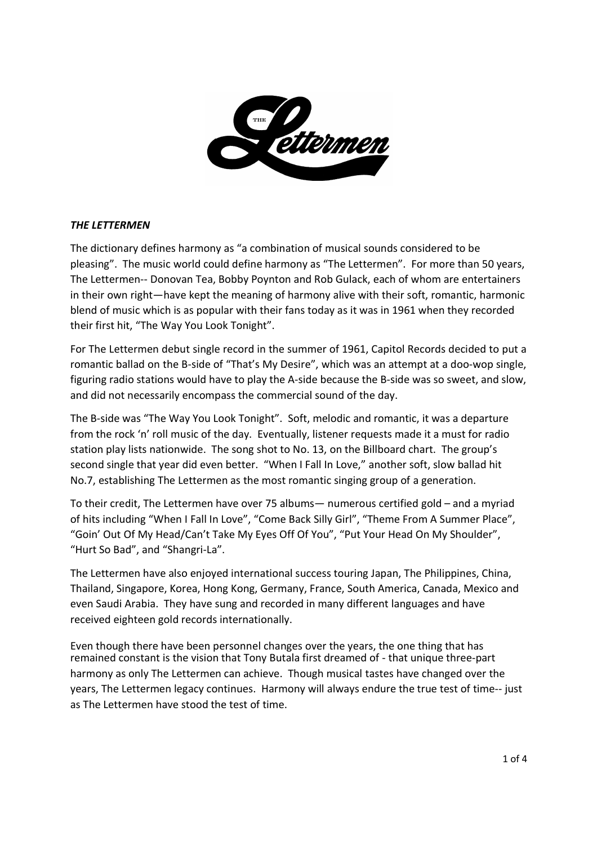

## *THE LETTERMEN*

The dictionary defines harmony as "a combination of musical sounds considered to be pleasing". The music world could define harmony as "The Lettermen". For more than 50 years, The Lettermen-- Donovan Tea, Bobby Poynton and Rob Gulack, each of whom are entertainers in their own right—have kept the meaning of harmony alive with their soft, romantic, harmonic blend of music which is as popular with their fans today as it was in 1961 when they recorded their first hit, "The Way You Look Tonight".

For The Lettermen debut single record in the summer of 1961, Capitol Records decided to put a romantic ballad on the B-side of "That's My Desire", which was an attempt at a doo-wop single, figuring radio stations would have to play the A-side because the B-side was so sweet, and slow, and did not necessarily encompass the commercial sound of the day.

The B-side was "The Way You Look Tonight". Soft, melodic and romantic, it was a departure from the rock 'n' roll music of the day. Eventually, listener requests made it a must for radio station play lists nationwide. The song shot to No. 13, on the Billboard chart. The group's second single that year did even better. "When I Fall In Love," another soft, slow ballad hit No.7, establishing The Lettermen as the most romantic singing group of a generation.

To their credit, The Lettermen have over 75 albums— numerous certified gold – and a myriad of hits including "When I Fall In Love", "Come Back Silly Girl", "Theme From A Summer Place", "Goin' Out Of My Head/Can't Take My Eyes Off Of You", "Put Your Head On My Shoulder", "Hurt So Bad", and "Shangri-La".

The Lettermen have also enjoyed international success touring Japan, The Philippines, China, Thailand, Singapore, Korea, Hong Kong, Germany, France, South America, Canada, Mexico and even Saudi Arabia. They have sung and recorded in many different languages and have received eighteen gold records internationally.

Even though there have been personnel changes over the years, the one thing that has remained constant is the vision that Tony Butala first dreamed of - that unique three-part harmony as only The Lettermen can achieve. Though musical tastes have changed over the years, The Lettermen legacy continues. Harmony will always endure the true test of time-- just as The Lettermen have stood the test of time.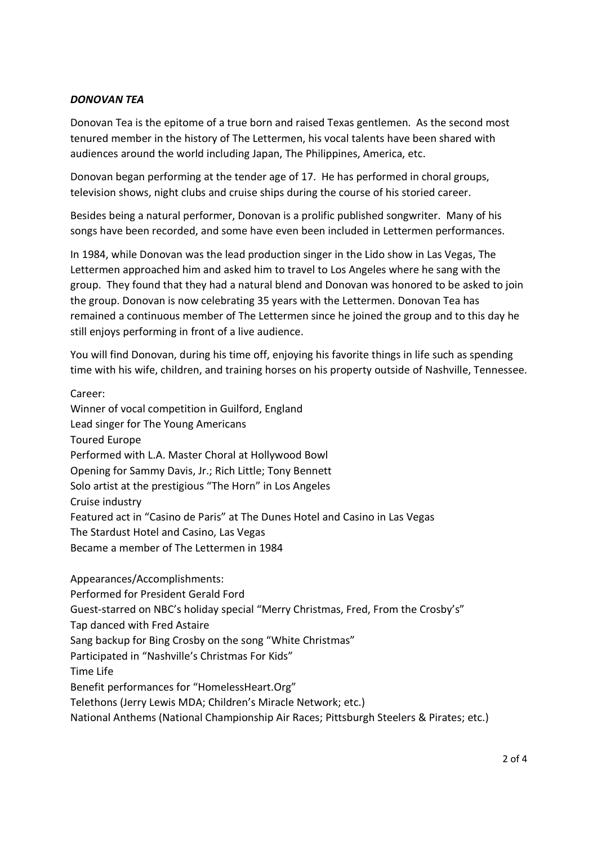# *DONOVAN TEA*

Donovan Tea is the epitome of a true born and raised Texas gentlemen. As the second most tenured member in the history of The Lettermen, his vocal talents have been shared with audiences around the world including Japan, The Philippines, America, etc.

Donovan began performing at the tender age of 17. He has performed in choral groups, television shows, night clubs and cruise ships during the course of his storied career.

Besides being a natural performer, Donovan is a prolific published songwriter. Many of his songs have been recorded, and some have even been included in Lettermen performances.

In 1984, while Donovan was the lead production singer in the Lido show in Las Vegas, The Lettermen approached him and asked him to travel to Los Angeles where he sang with the group. They found that they had a natural blend and Donovan was honored to be asked to join the group. Donovan is now celebrating 35 years with the Lettermen. Donovan Tea has remained a continuous member of The Lettermen since he joined the group and to this day he still enjoys performing in front of a live audience.

You will find Donovan, during his time off, enjoying his favorite things in life such as spending time with his wife, children, and training horses on his property outside of Nashville, Tennessee.

Career:

Winner of vocal competition in Guilford, England Lead singer for The Young Americans Toured Europe Performed with L.A. Master Choral at Hollywood Bowl Opening for Sammy Davis, Jr.; Rich Little; Tony Bennett Solo artist at the prestigious "The Horn" in Los Angeles Cruise industry Featured act in "Casino de Paris" at The Dunes Hotel and Casino in Las Vegas The Stardust Hotel and Casino, Las Vegas Became a member of The Lettermen in 1984

Appearances/Accomplishments: Performed for President Gerald Ford Guest-starred on NBC's holiday special "Merry Christmas, Fred, From the Crosby's" Tap danced with Fred Astaire Sang backup for Bing Crosby on the song "White Christmas" Participated in "Nashville's Christmas For Kids" Time Life Benefit performances for "HomelessHeart.Org" Telethons (Jerry Lewis MDA; Children's Miracle Network; etc.) National Anthems (National Championship Air Races; Pittsburgh Steelers & Pirates; etc.)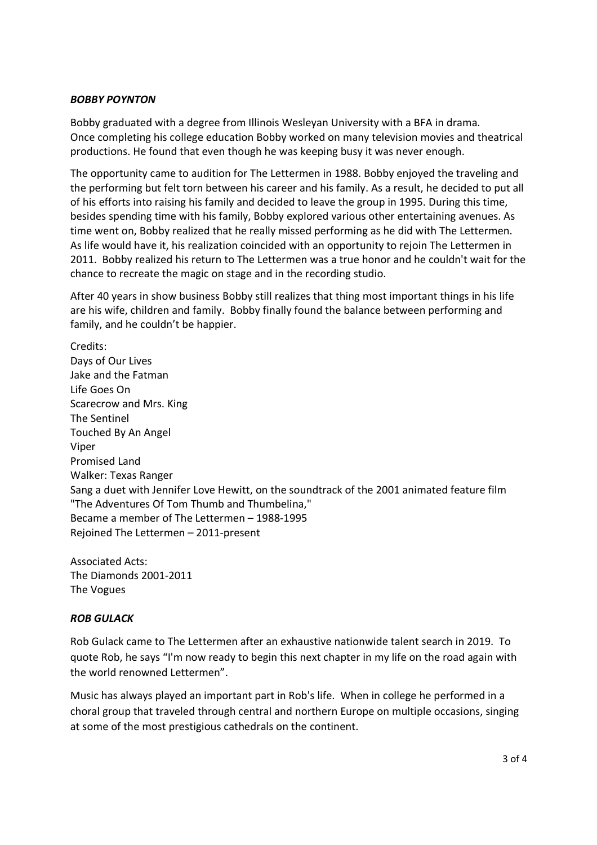## *BOBBY POYNTON*

Bobby graduated with a degree from Illinois Wesleyan University with a BFA in drama. Once completing his college education Bobby worked on many television movies and theatrical productions. He found that even though he was keeping busy it was never enough.

The opportunity came to audition for The Lettermen in 1988. Bobby enjoyed the traveling and the performing but felt torn between his career and his family. As a result, he decided to put all of his efforts into raising his family and decided to leave the group in 1995. During this time, besides spending time with his family, Bobby explored various other entertaining avenues. As time went on, Bobby realized that he really missed performing as he did with The Lettermen. As life would have it, his realization coincided with an opportunity to rejoin The Lettermen in 2011. Bobby realized his return to The Lettermen was a true honor and he couldn't wait for the chance to recreate the magic on stage and in the recording studio.

After 40 years in show business Bobby still realizes that thing most important things in his life are his wife, children and family. Bobby finally found the balance between performing and family, and he couldn't be happier.

Credits: Days of Our Lives Jake and the Fatman Life Goes On Scarecrow and Mrs. King The Sentinel Touched By An Angel Viper Promised Land Walker: Texas Ranger Sang a duet with Jennifer Love Hewitt, on the soundtrack of the 2001 animated feature film "The Adventures Of Tom Thumb and Thumbelina," Became a member of The Lettermen – 1988-1995 Rejoined The Lettermen – 2011-present

Associated Acts: The Diamonds 2001-2011 The Vogues

## *ROB GULACK*

Rob Gulack came to The Lettermen after an exhaustive nationwide talent search in 2019. To quote Rob, he says "I'm now ready to begin this next chapter in my life on the road again with the world renowned Lettermen".

Music has always played an important part in Rob's life. When in college he performed in a choral group that traveled through central and northern Europe on multiple occasions, singing at some of the most prestigious cathedrals on the continent.